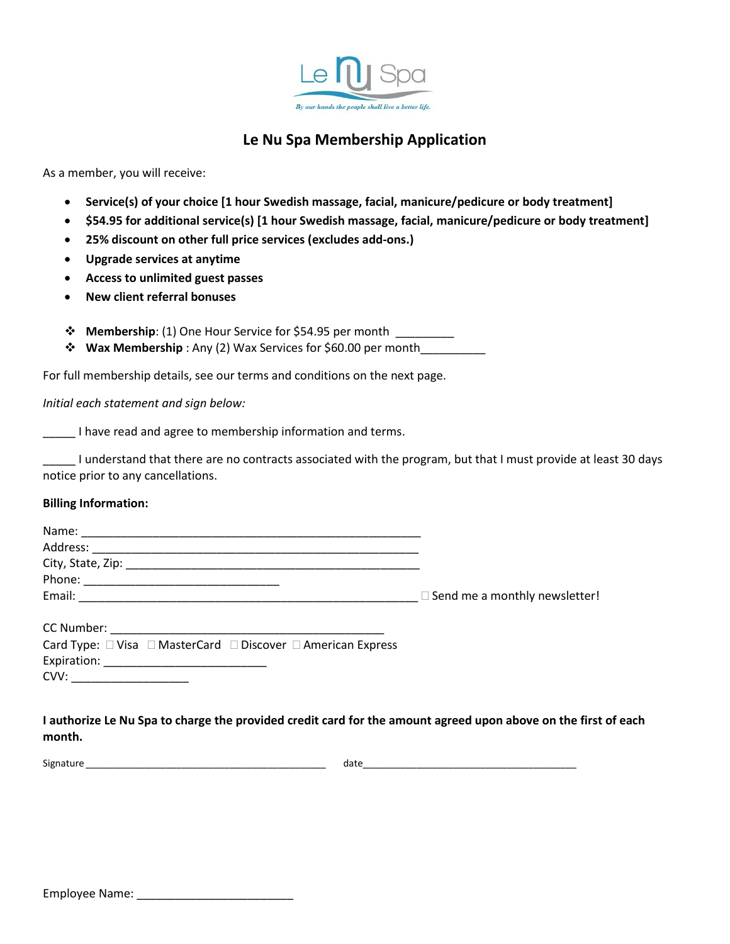

## **Le Nu Spa Membership Application**

As a member, you will receive:

- **Service(s) of your choice [1 hour Swedish massage, facial, manicure/pedicure or body treatment]**
- **\$54.95 for additional service(s) [1 hour Swedish massage, facial, manicure/pedicure or body treatment]**
- **25% discount on other full price services (excludes add-ons.)**
- **Upgrade services at anytime**
- **Access to unlimited guest passes**
- **New client referral bonuses**
- ❖ **Membership**: (1) One Hour Service for \$54.95 per month \_\_\_\_\_\_\_\_\_
- ❖ **Wax Membership** : Any (2) Wax Services for \$60.00 per month\_\_\_\_\_\_\_\_\_\_

For full membership details, see our terms and conditions on the next page.

*Initial each statement and sign below:*

**The I** have read and agree to membership information and terms.

\_\_\_\_\_ I understand that there are no contracts associated with the program, but that I must provide at least 30 days notice prior to any cancellations.

## **Billing Information:**

| Name:      |                                      |
|------------|--------------------------------------|
| Address:   |                                      |
|            |                                      |
|            |                                      |
| Email:     | $\Box$ Send me a monthly newsletter! |
| CC Number: |                                      |

| <u>cc ivaillect:</u> |  |                                                                                  |  |
|----------------------|--|----------------------------------------------------------------------------------|--|
|                      |  | Card Type: $\Box$ Visa $\Box$ MasterCard $\Box$ Discover $\Box$ American Express |  |
| Expiration:          |  |                                                                                  |  |
| CVV:                 |  |                                                                                  |  |

## **I authorize Le Nu Spa to charge the provided credit card for the amount agreed upon above on the first of each month.**

Signature \_\_\_\_\_\_\_\_\_\_\_\_\_\_\_\_\_\_\_\_\_\_\_\_\_\_\_\_\_\_\_\_\_\_\_\_\_\_\_\_\_\_\_\_\_ date\_\_\_\_\_\_\_\_\_\_\_\_\_\_\_\_\_\_\_\_\_\_\_\_\_\_\_\_\_\_\_\_\_\_\_\_\_\_\_\_